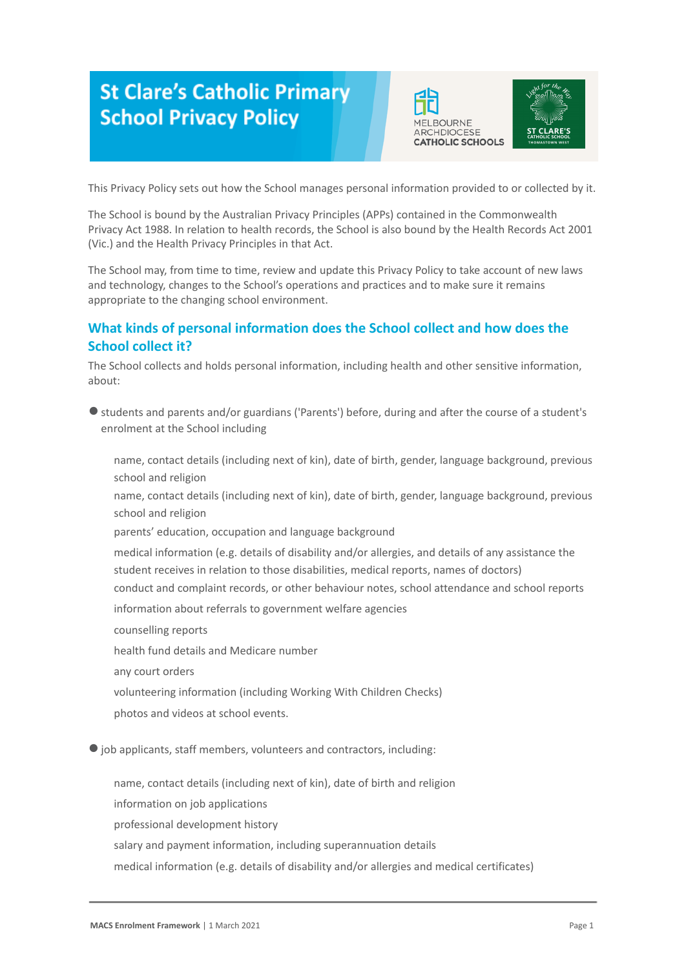# **St Clare's Catholic Primary School Privacy Policy**





This Privacy Policy sets out how the School manages personal information provided to or collected by it.

The School is bound by the Australian Privacy Principles (APPs) contained in the Commonwealth Privacy Act 1988. In relation to health records, the School is also bound by the Health Records Act 2001 (Vic.) and the Health Privacy Principles in that Act.

The School may, from time to time, review and update this Privacy Policy to take account of new laws and technology, changes to the School's operations and practices and to make sure it remains appropriate to the changing school environment.

# **What kinds of personal information does the School collect and how does the School collect it?**

The School collects and holds personal information, including health and other sensitive information, about:

● students and parents and/or guardians ('Parents') before, during and after the course of a student's enrolment at the School including

-name, contact details (including next of kin), date of birth, gender, language background, previous school and religion

name, contact details (including next of kin), date of birth, gender, language background, previous school and religion

parents' education, occupation and language background

medical information (e.g. details of disability and/or allergies, and details of any assistance the student receives in relation to those disabilities, medical reports, names of doctors) -conduct and complaint records, or other behaviour notes, school attendance and school reports

information about referrals to government welfare agencies

-counselling reports

-health fund details and Medicare number

any court orders

volunteering information (including Working With Children Checks)

photos and videos at school events.

● job applicants, staff members, volunteers and contractors, including:

name, contact details (including next of kin), date of birth and religion

information on job applications

professional development history

salary and payment information, including superannuation details

medical information (e.g. details of disability and/or allergies and medical certificates)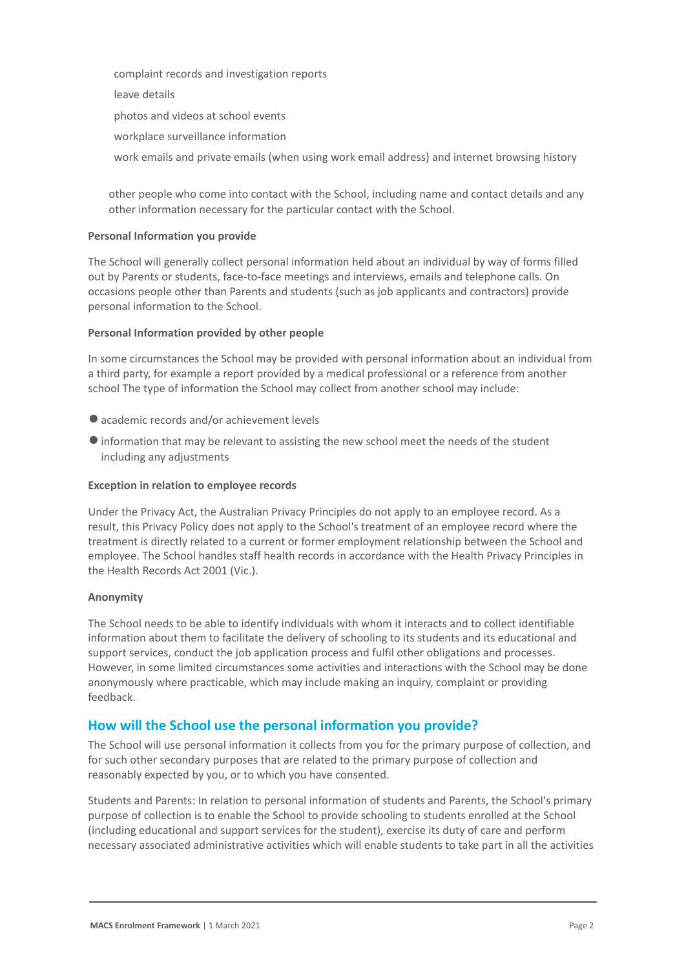-complaint records and investigation reports

leave details

-photos and videos at school events

workplace surveillance information

work emails and private emails (when using work email address) and internet browsing history

other people who come into contact with the School, including name and contact details and any other information necessary for the particular contact with the School.

# **Personal Information you provide**

The School will generally collect personal information held about an individual by way of forms filled out by Parents or students, face-to-face meetings and interviews, emails and telephone calls. On occasions people other than Parents and students (such as job applicants and contractors) provide personal information to the School.

## **Personal Information provided by other people**

In some circumstances the School may be provided with personal information about an individual from a third party, for example a report provided by a medical professional or a reference from another school The type of information the School may collect from another school may include:

- academic records and/or achievement levels
- ●information that may be relevant to assisting the new school meet the needs of the student including any adjustments

# **Exception in relation to employee records**

Under the Privacy Act, the Australian Privacy Principles do not apply to an employee record. As a result, this Privacy Policy does not apply to the School's treatment of an employee record where the treatment is directly related to a current or former employment relationship between the School and employee. The School handles staff health records in accordance with the Health Privacy Principles in the Health Records Act 2001 (Vic.).

## **Anonymity**

The School needs to be able to identify individuals with whom it interacts and to collect identifiable information about them to facilitate the delivery of schooling to its students and its educational and support services, conduct the job application process and fulfil other obligations and processes. However, in some limited circumstances some activities and interactions with the School may be done anonymously where practicable, which may include making an inquiry, complaint or providing feedback.

# **How will the School use the personal information you provide?**

The School will use personal information it collects from you for the primary purpose of collection, and for such other secondary purposes that are related to the primary purpose of collection and reasonably expected by you, or to which you have consented.

Students and Parents: In relation to personal information of students and Parents, the School's primary purpose of collection is to enable the School to provide schooling to students enrolled at the School (including educational and support services for the student), exercise its duty of care and perform necessary associated administrative activities which will enable students to take part in all the activities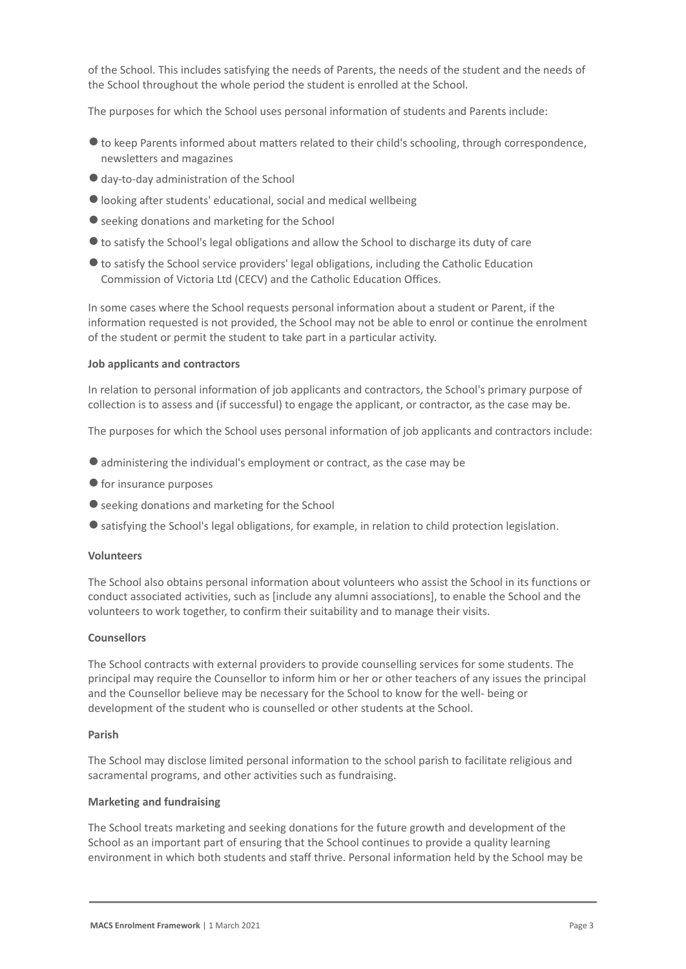of the School. This includes satisfying the needs of Parents, the needs of the student and the needs of the School throughout the whole period the student is enrolled at the School.

The purposes for which the School uses personal information of students and Parents include:

- ●to keep Parents informed about matters related to their child's schooling, through correspondence, newsletters and magazines
- ●day-to-day administration of the School
- ●looking after students' educational, social and medical wellbeing
- seeking donations and marketing for the School
- ●to satisfy the School's legal obligations and allow the School to discharge its duty of care
- ●to satisfy the School service providers' legal obligations, including the Catholic Education Commission of Victoria Ltd (CECV) and the Catholic Education Offices.

In some cases where the School requests personal information about a student or Parent, if the information requested is not provided, the School may not be able to enrol or continue the enrolment of the student or permit the student to take part in a particular activity.

#### **Job applicants and contractors**

In relation to personal information of job applicants and contractors, the School's primary purpose of collection is to assess and (if successful) to engage the applicant, or contractor, as the case may be.

The purposes for which the School uses personal information of job applicants and contractors include:

- ●administering the individual's employment or contract, as the case may be
- for insurance purposes
- seeking donations and marketing for the School
- satisfying the School's legal obligations, for example, in relation to child protection legislation.

#### **Volunteers**

The School also obtains personal information about volunteers who assist the School in its functions or conduct associated activities, such as [include any alumni associations], to enable the School and the volunteers to work together, to confirm their suitability and to manage their visits.

# **Counsellors**

The School contracts with external providers to provide counselling services for some students. The principal may require the Counsellor to inform him or her or other teachers of any issues the principal and the Counsellor believe may be necessary for the School to know for the well- being or development of the student who is counselled or other students at the School.

#### **Parish**

The School may disclose limited personal information to the school parish to facilitate religious and sacramental programs, and other activities such as fundraising.

# **Marketing and fundraising**

The School treats marketing and seeking donations for the future growth and development of the School as an important part of ensuring that the School continues to provide a quality learning environment in which both students and staff thrive. Personal information held by the School may be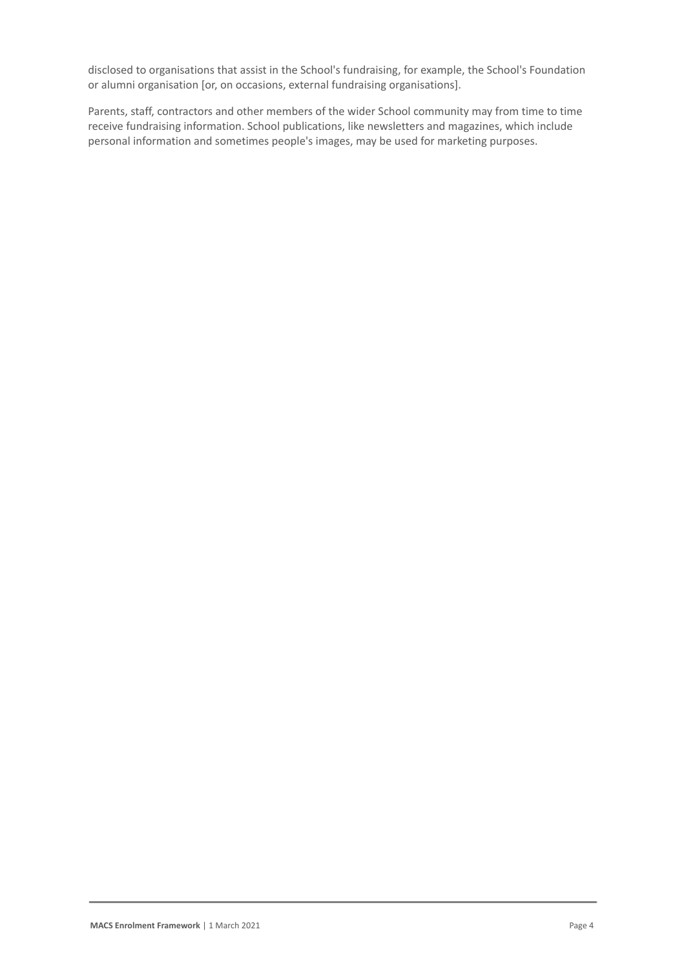disclosed to organisations that assist in the School's fundraising, for example, the School's Foundation or alumni organisation [or, on occasions, external fundraising organisations].

Parents, staff, contractors and other members of the wider School community may from time to time receive fundraising information. School publications, like newsletters and magazines, which include personal information and sometimes people's images, may be used for marketing purposes.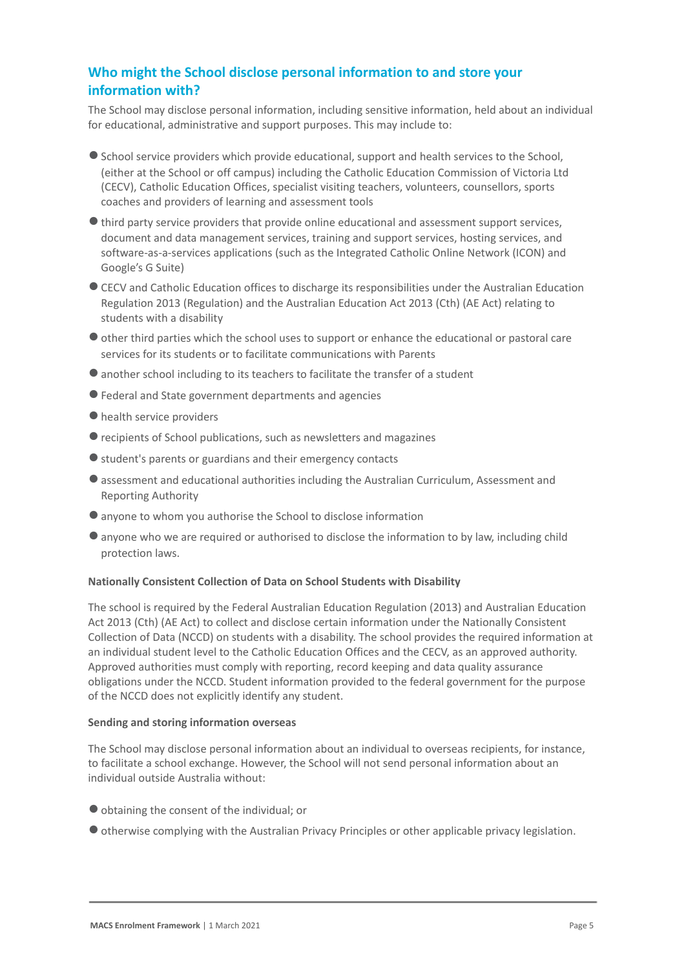# **Who might the School disclose personal information to and store your information with?**

The School may disclose personal information, including sensitive information, held about an individual for educational, administrative and support purposes. This may include to:

- School service providers which provide educational, support and health services to the School, (either at the School or off campus) including the Catholic Education Commission of Victoria Ltd (CECV), Catholic Education Offices, specialist visiting teachers, volunteers, counsellors, sports coaches and providers of learning and assessment tools
- ●third party service providers that provide online educational and assessment support services, document and data management services, training and support services, hosting services, and software-as-a-services applications (such as the Integrated Catholic Online Network (ICON) and Google's G Suite)
- ●CECV and Catholic Education offices to discharge its responsibilities under the Australian Education Regulation 2013 (Regulation) and the Australian Education Act 2013 (Cth) (AE Act) relating to students with a disability
- ●other third parties which the school uses to support or enhance the educational or pastoral care services for its students or to facilitate communications with Parents
- ●another school including to its teachers to facilitate the transfer of a student
- ●Federal and State government departments and agencies
- health service providers
- ●recipients of School publications, such as newsletters and magazines
- ●student's parents or guardians and their emergency contacts
- ●assessment and educational authorities including the Australian Curriculum, Assessment and Reporting Authority
- anyone to whom you authorise the School to disclose information
- ●anyone who we are required or authorised to disclose the information to by law, including child protection laws.

# **Nationally Consistent Collection of Data on School Students with Disability**

The school is required by the Federal Australian Education Regulation (2013) and Australian Education Act 2013 (Cth) (AE Act) to collect and disclose certain information under the Nationally Consistent Collection of Data (NCCD) on students with a disability. The school provides the required information at an individual student level to the Catholic Education Offices and the CECV, as an approved authority. Approved authorities must comply with reporting, record keeping and data quality assurance obligations under the NCCD. Student information provided to the federal government for the purpose of the NCCD does not explicitly identify any student.

# **Sending and storing information overseas**

The School may disclose personal information about an individual to overseas recipients, for instance, to facilitate a school exchange. However, the School will not send personal information about an individual outside Australia without:

- ●obtaining the consent of the individual; or
- ●otherwise complying with the Australian Privacy Principles or other applicable privacy legislation.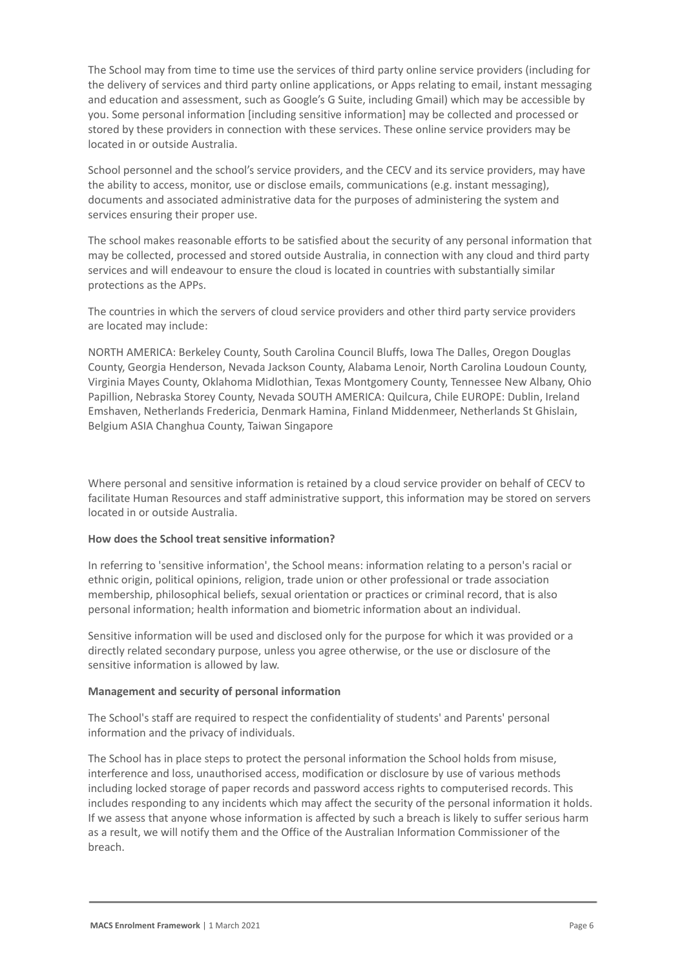The School may from time to time use the services of third party online service providers (including for the delivery of services and third party online applications, or Apps relating to email, instant messaging and education and assessment, such as Google's G Suite, including Gmail) which may be accessible by you. Some personal information [including sensitive information] may be collected and processed or stored by these providers in connection with these services. These online service providers may be located in or outside Australia.

School personnel and the school's service providers, and the CECV and its service providers, may have the ability to access, monitor, use or disclose emails, communications (e.g. instant messaging), documents and associated administrative data for the purposes of administering the system and services ensuring their proper use.

The school makes reasonable efforts to be satisfied about the security of any personal information that may be collected, processed and stored outside Australia, in connection with any cloud and third party services and will endeavour to ensure the cloud is located in countries with substantially similar protections as the APPs.

The countries in which the servers of cloud service providers and other third party service providers are located may include:

NORTH AMERICA: Berkeley County, South Carolina Council Bluffs, Iowa The Dalles, Oregon Douglas County, Georgia Henderson, Nevada Jackson County, Alabama Lenoir, North Carolina Loudoun County, Virginia Mayes County, Oklahoma Midlothian, Texas Montgomery County, Tennessee New Albany, Ohio Papillion, Nebraska Storey County, Nevada SOUTH AMERICA: Quilcura, Chile EUROPE: Dublin, Ireland Emshaven, Netherlands Fredericia, Denmark Hamina, Finland Middenmeer, Netherlands St Ghislain, Belgium ASIA Changhua County, Taiwan Singapore

Where personal and sensitive information is retained by a cloud service provider on behalf of CECV to facilitate Human Resources and staff administrative support, this information may be stored on servers located in or outside Australia.

# **How does the School treat sensitive information?**

In referring to 'sensitive information', the School means: information relating to a person's racial or ethnic origin, political opinions, religion, trade union or other professional or trade association membership, philosophical beliefs, sexual orientation or practices or criminal record, that is also personal information; health information and biometric information about an individual.

Sensitive information will be used and disclosed only for the purpose for which it was provided or a directly related secondary purpose, unless you agree otherwise, or the use or disclosure of the sensitive information is allowed by law.

# **Management and security of personal information**

The School's staff are required to respect the confidentiality of students' and Parents' personal information and the privacy of individuals.

The School has in place steps to protect the personal information the School holds from misuse, interference and loss, unauthorised access, modification or disclosure by use of various methods including locked storage of paper records and password access rights to computerised records. This includes responding to any incidents which may affect the security of the personal information it holds. If we assess that anyone whose information is affected by such a breach is likely to suffer serious harm as a result, we will notify them and the Office of the Australian Information Commissioner of the breach.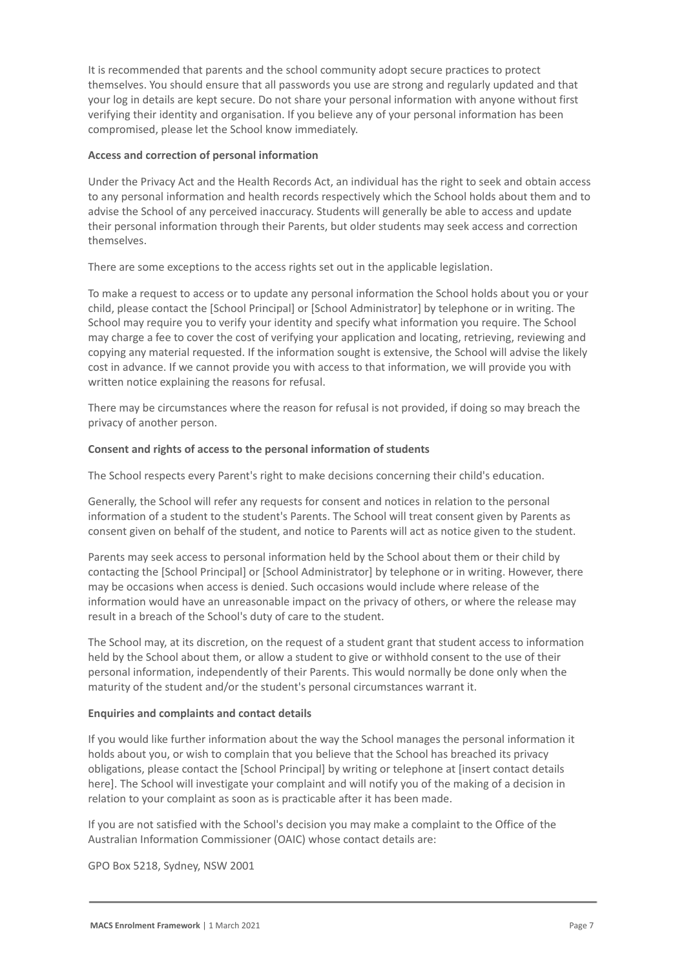It is recommended that parents and the school community adopt secure practices to protect themselves. You should ensure that all passwords you use are strong and regularly updated and that your log in details are kept secure. Do not share your personal information with anyone without first verifying their identity and organisation. If you believe any of your personal information has been compromised, please let the School know immediately.

# **Access and correction of personal information**

Under the Privacy Act and the Health Records Act, an individual has the right to seek and obtain access to any personal information and health records respectively which the School holds about them and to advise the School of any perceived inaccuracy. Students will generally be able to access and update their personal information through their Parents, but older students may seek access and correction themselves.

There are some exceptions to the access rights set out in the applicable legislation.

To make a request to access or to update any personal information the School holds about you or your child, please contact the [School Principal] or [School Administrator] by telephone or in writing. The School may require you to verify your identity and specify what information you require. The School may charge a fee to cover the cost of verifying your application and locating, retrieving, reviewing and copying any material requested. If the information sought is extensive, the School will advise the likely cost in advance. If we cannot provide you with access to that information, we will provide you with written notice explaining the reasons for refusal.

There may be circumstances where the reason for refusal is not provided, if doing so may breach the privacy of another person.

# **Consent and rights of access to the personal information of students**

The School respects every Parent's right to make decisions concerning their child's education.

Generally, the School will refer any requests for consent and notices in relation to the personal information of a student to the student's Parents. The School will treat consent given by Parents as consent given on behalf of the student, and notice to Parents will act as notice given to the student.

Parents may seek access to personal information held by the School about them or their child by contacting the [School Principal] or [School Administrator] by telephone or in writing. However, there may be occasions when access is denied. Such occasions would include where release of the information would have an unreasonable impact on the privacy of others, or where the release may result in a breach of the School's duty of care to the student.

The School may, at its discretion, on the request of a student grant that student access to information held by the School about them, or allow a student to give or withhold consent to the use of their personal information, independently of their Parents. This would normally be done only when the maturity of the student and/or the student's personal circumstances warrant it.

## **Enquiries and complaints and contact details**

If you would like further information about the way the School manages the personal information it holds about you, or wish to complain that you believe that the School has breached its privacy obligations, please contact the [School Principal] by writing or telephone at [insert contact details here]. The School will investigate your complaint and will notify you of the making of a decision in relation to your complaint as soon as is practicable after it has been made.

If you are not satisfied with the School's decision you may make a complaint to the Office of the Australian Information Commissioner (OAIC) whose contact details are:

GPO Box 5218, Sydney, NSW 2001